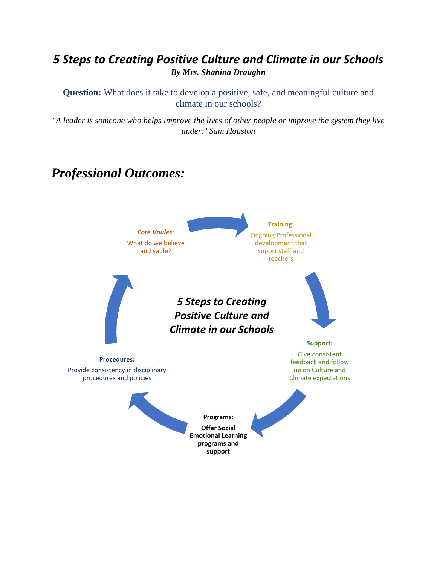### *5 Steps to Creating Positive Culture and Climate in our Schools By Mrs. Shanina Draughn*

**Question:** What does it take to develop a positive, safe, and meaningful culture and climate in our schools?

*"A leader is someone who helps improve the lives of other people or improve the system they live under." Sam Houston*

## *Professional Outcomes:*

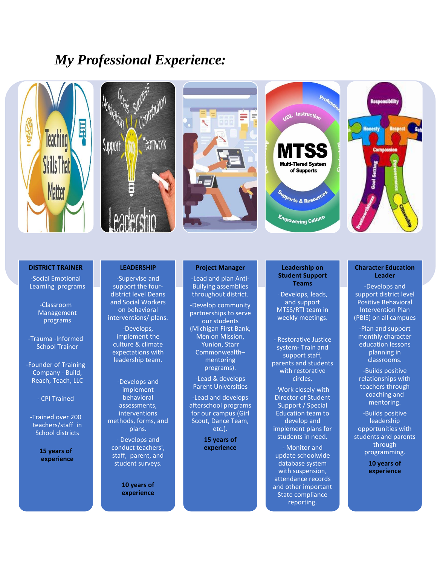### *My Professional Experience:*



#### **DISTRICT TRAINER**

-Social Emotional Learning programs

> -Classroom Management programs

-Trauma -Informed School Trainer

-Founder of Training Company - Build, Reach, Teach, LLC

- CPI Trained

-Trained over 200 teachers/staff in School districts

> **15 years of experience**

#### **LEADERSHIP**

-Supervise and support the fourdistrict level Deans and Social Workers on behavioral interventions/ plans.

-Develops, implement the culture & climate expectations with leadership team.

-Develops and implement behavioral assessments, interventions methods, forms, and plans.

- Develops and conduct teachers', staff, parent, and student surveys.

> **10 years of experience**

#### **Project Manager**

-Lead and plan Anti-Bullying assemblies throughout district.

-Develop community partnerships to serve our students (Michigan First Bank, Men on Mission, Yunion, Starr Commonwealth– mentoring programs).

-Lead & develops Parent Universities

-Lead and develops afterschool programs for our campus (Girl Scout, Dance Team, etc.).

> **15 years of experience**

#### **Leadership on Student Support Teams**

- Develops, leads, and support MTSS/RTI team in weekly meetings.

- Restorative Justice system- Train and support staff, parents and students with restorative circles.

-Work closely with Director of Student Support / Special Education team to develop and implement plans for students in need.

- Monitor and update schoolwide database system with suspension, attendance records and other important State compliance reporting.

#### **Character Education Leader**

-Develops and support district level Positive Behavioral Intervention Plan (PBIS) on all campues

-Plan and support monthly character education lessons planning in classrooms.

-Builds positive relationships with teachers through coaching and mentoring.

-Builds positive leadership opportunities with students and parents through programming.

> **10 years of experience**